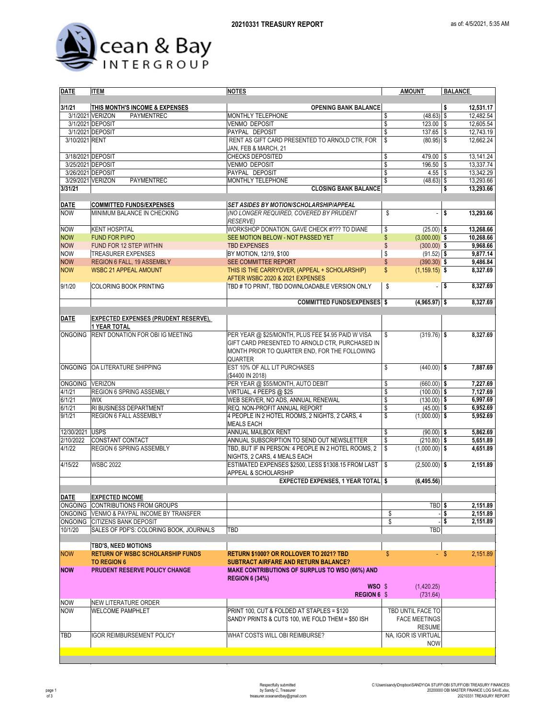

| DATE                | <b>ITEM</b>                                                             | <b>NOTES</b>                                                                                                                                                      | <b>AMOUNT</b>                                | <b>BALANCE</b>         |
|---------------------|-------------------------------------------------------------------------|-------------------------------------------------------------------------------------------------------------------------------------------------------------------|----------------------------------------------|------------------------|
| 3/1/21              |                                                                         |                                                                                                                                                                   |                                              |                        |
|                     | THIS MONTH'S INCOME & EXPENSES<br>3/1/2021 VERIZON<br><b>PAYMENTREC</b> | <b>OPENING BANK BALANCE</b><br>MONTHLY TELEPHONE                                                                                                                  | \$<br>$(48.63)$ \$                           | 12,531.17<br>12,482.54 |
|                     | 3/1/2021 DEPOSIT                                                        | <b>VENMO DEPOSIT</b>                                                                                                                                              | \$<br>$123.00$ \$                            | 12,605.54              |
|                     | 3/1/2021 DEPOSIT                                                        | PAYPAL DEPOSIT                                                                                                                                                    | \$<br>137.65 \$                              | 12,743.19              |
| 3/10/2021 RENT      |                                                                         | RENT AS GIFT CARD PRESENTED TO ARNOLD CTR, FOR<br>JAN. FEB & MARCH. 21                                                                                            | \$<br>$(80.95)$ \$                           | 12,662.24              |
| 3/18/2021 DEPOSIT   |                                                                         | CHECKS DEPOSITED                                                                                                                                                  | \$<br>479.00 \$                              | 13,141.24              |
| 3/25/2021 DEPOSIT   |                                                                         | <b>VENMO DEPOSIT</b>                                                                                                                                              | \$<br>$196.50$ \$                            | 13,337.74              |
| 3/26/2021 DEPOSIT   |                                                                         | PAYPAL DEPOSIT                                                                                                                                                    | \$<br>$4.55$ \ \$                            | 13,342.29              |
|                     | 3/29/2021 VERIZON<br><b>PAYMENTREC</b>                                  | <b>MONTHLY TELEPHONE</b>                                                                                                                                          | \$<br>$(48.63)$ \$                           | 13,293.66              |
| 3/31/21             |                                                                         | <b>CLOSING BANK BALANCE</b>                                                                                                                                       |                                              | 13,293.66<br>\$        |
| <b>DATE</b>         | <b>COMMITTED FUNDS/EXPENSES</b>                                         | <b>SET ASIDES BY MOTION/SCHOLARSHIP/APPEAL</b>                                                                                                                    |                                              |                        |
| <b>NOW</b>          | MINIMUM BALANCE IN CHECKING                                             | (NO LONGER REQUIRED, COVERED BY PRUDENT<br><b>RESERVE)</b>                                                                                                        | \$<br>$\overline{\phantom{a}}$               | s<br>13.293.66         |
| <b>NOW</b>          | <b>KENT HOSPITAL</b>                                                    | WORKSHOP DONATION, GAVE CHECK #??? TO DIANE                                                                                                                       | \$<br>$(25.00)$ \$                           | 13,268.66              |
| <b>NOW</b>          | <b>FUND FOR PI/PO</b>                                                   | SEE MOTION BELOW - NOT PASSED YET                                                                                                                                 | \$<br>$(3,000.00)$ \$                        | 10,268.66              |
| <b>NOW</b>          | FUND FOR 12 STEP WITHIN                                                 | <b>TBD EXPENSES</b>                                                                                                                                               | $\sqrt[6]{\frac{1}{2}}$<br>$(300.00)$ \$     | 9,968.66               |
| <b>NOW</b>          | <b>TREASURER EXPENSES</b>                                               | BY MOTION, 12/19, \$100                                                                                                                                           | \$<br>$(91.52)$ \$                           | 9,877.14               |
| <b>NOW</b>          | REGION 6 FALL, 19 ASSEMBLY                                              | SEE COMMITTEE REPORT                                                                                                                                              | $\frac{1}{2}$<br>$(390.30)$ \$               | 9,486.84               |
| <b>NOW</b>          | <b>WSBC 21 APPEAL AMOUNT</b>                                            | THIS IS THE CARRYOVER, (APPEAL + SCHOLARSHIP)<br>AFTER WSBC 2020 & 2021 EXPENSES                                                                                  | \$<br>$(1, 159.15)$ \$                       | 8,327.69               |
| 9/1/20              | <b>COLORING BOOK PRINTING</b>                                           | TBD # TO PRINT, TBD DOWNLOADABLE VERSION ONLY                                                                                                                     | \$<br>$\blacksquare$                         | 8,327.69<br>\$         |
|                     |                                                                         | <b>COMMITTED FUNDS/EXPENSES</b> \$                                                                                                                                | $(4,965.97)$ \$                              | 8,327.69               |
| <b>DATE</b>         | EXPECTED EXPENSES (PRUDENT RESERVE),                                    |                                                                                                                                                                   |                                              |                        |
|                     | <b>1 YEAR TOTAL</b>                                                     |                                                                                                                                                                   |                                              |                        |
| <b>ONGOING</b>      | RENT DONATION FOR OBI IG MEETING                                        | PER YEAR @ \$25/MONTH, PLUS FEE \$4.95 PAID W VISA<br>GIFT CARD PRESENTED TO ARNOLD CTR. PURCHASED IN<br>MONTH PRIOR TO QUARTER END, FOR THE FOLLOWING<br>QUARTER | $(319.76)$ \$<br>\$                          | 8,327.69               |
|                     | ONGOING OA LITERATURE SHIPPING                                          | EST 10% OF ALL LIT PURCHASES<br>(\$4400 IN 2018)                                                                                                                  | \$<br>$(440.00)$ \$                          | 7,887.69               |
| ONGOING VERIZON     |                                                                         | PER YEAR @ \$55/MONTH, AUTO DEBIT                                                                                                                                 | \$<br>$(660.00)$ \$                          | 7,227.69               |
| 4/1/21              | REGION 6 SPRING ASSEMBLY                                                | VIRTUAL, 4 PEEPS @ \$25                                                                                                                                           | \$<br>$(100.00)$ \$                          | 7,127.69               |
| 6/1/21              | <b>WIX</b>                                                              | WEB SERVER, NO ADS, ANNUAL RENEWAL                                                                                                                                | \$<br>$(130.00)$ \$                          | 6,997.69               |
| 6/1/21              | RI BUSINESS DEPARTMENT                                                  | REQ. NON-PROFIT ANNUAL REPORT                                                                                                                                     | \$<br>$(45.00)$ \$                           | 6,952.69               |
| 9/1/21              | REGION 6 FALL ASSEMBLY                                                  | 4 PEOPLE IN 2 HOTEL ROOMS, 2 NIGHTS, 2 CARS, 4<br><b>MEALS EACH</b>                                                                                               | \$<br>$(1,000.00)$ \$                        | 5,952.69               |
| 12/30/2021 USPS     |                                                                         | ANNUAL MAILBOX RENT                                                                                                                                               | \$<br>$(90.00)$ \$                           | 5,862.69               |
| 2/10/2022<br>4/1/22 | CONSTANT CONTACT<br><b>REGION 6 SPRING ASSEMBLY</b>                     | ANNUAL SUBSCRIPTION TO SEND OUT NEWSLETTER<br>TBD, BUT IF IN PERSON: 4 PEOPLE IN 2 HOTEL ROOMS, 2<br>NIGHTS, 2 CARS, 4 MEALS EACH                                 | \$<br>$(210.80)$ \$<br>\$<br>$(1,000.00)$ \$ | 5.651.89<br>4,651.89   |
| 4/15/22             | <b>WSBC 2022</b>                                                        | ESTIMATED EXPENSES \$2500, LESS \$1308.15 FROM LAST                                                                                                               | \$<br>$(2,500.00)$ \$                        | 2,151.89               |
|                     |                                                                         | APPEAL & SCHOLARSHIP                                                                                                                                              |                                              |                        |
|                     |                                                                         | <b>EXPECTED EXPENSES, 1 YEAR TOTAL \$</b>                                                                                                                         | (6, 495.56)                                  |                        |
| <b>DATE</b>         | <b>EXPECTED INCOME</b>                                                  |                                                                                                                                                                   |                                              |                        |
|                     | ONGOING CONTRIBUTIONS FROM GROUPS                                       |                                                                                                                                                                   | TBD <sub>\$</sub>                            | 2,151.89               |
|                     | ONGOING VENMO & PAYPAL INCOME BY TRANSFER                               |                                                                                                                                                                   | \$                                           | 2,151.89<br>\$         |
|                     | ONGOING CITIZENS BANK DEPOSIT                                           |                                                                                                                                                                   | \$                                           | 2,151.89<br>\$         |
| 10/1/20             | SALES OF PDF'S: COLORING BOOK, JOURNALS                                 | TBD                                                                                                                                                               | TBD                                          |                        |
|                     | TBD'S, NEED MOTIONS<br><b>RETURN OF WSBC SCHOLARSHIP FUNDS</b>          |                                                                                                                                                                   |                                              |                        |
| <b>NOW</b>          | <b>TO REGION 6</b>                                                      | <b>RETURN \$1000? OR ROLLOVER TO 2021? TBD</b><br><b>SUBTRACT AIRFARE AND RETURN BALANCE?</b>                                                                     | \$                                           | - \$<br>2,151.89       |
| <b>NOW</b>          | <b>PRUDENT RESERVE POLICY CHANGE</b>                                    | <b>MAKE CONTRIBUTIONS OF SURPLUS TO WSO (66%) AND</b><br><b>REGION 6 (34%)</b>                                                                                    |                                              |                        |
|                     |                                                                         | WSO \$<br><b>REGION 6 \$</b>                                                                                                                                      | (1,420.25)<br>(731.64)                       |                        |
| <b>NOW</b>          | NEW LITERATURE ORDER                                                    |                                                                                                                                                                   |                                              |                        |
| <b>NOW</b>          | <b>WELCOME PAMPHLET</b>                                                 | PRINT 100, CUT & FOLDED AT STAPLES = \$120                                                                                                                        | TBD UNTIL FACE TO                            |                        |
|                     |                                                                         | SANDY PRINTS & CUTS 100, WE FOLD THEM = \$50 ISH                                                                                                                  | <b>FACE MEETINGS</b>                         |                        |
|                     |                                                                         |                                                                                                                                                                   | <b>RESUME</b>                                |                        |
| TBD                 | <b>IGOR REIMBURSEMENT POLICY</b>                                        | WHAT COSTS WILL OBI REIMBURSE?                                                                                                                                    | NA, IGOR IS VIRTUAL<br><b>NOW</b>            |                        |
|                     |                                                                         |                                                                                                                                                                   |                                              |                        |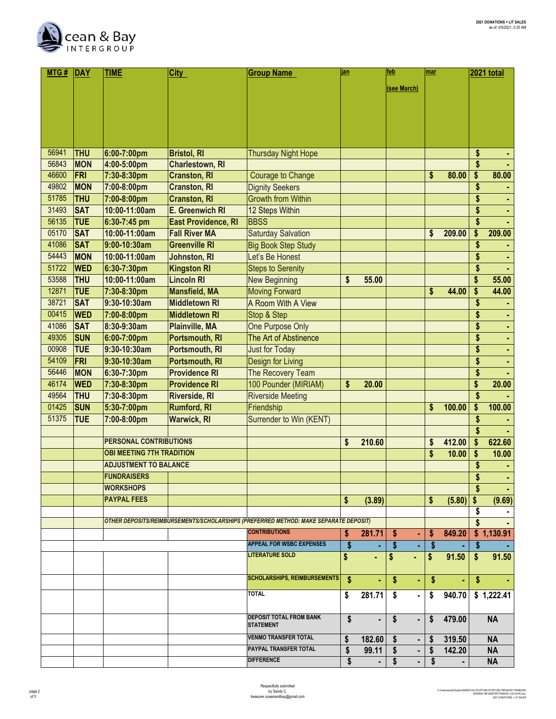

| MTG#  | DAY        | <b>TIME</b>                      | <b>City</b>                | <b>Group Name</b>                                                                    | jan        |        | feb                          | mar |        |    | 2021 total |
|-------|------------|----------------------------------|----------------------------|--------------------------------------------------------------------------------------|------------|--------|------------------------------|-----|--------|----|------------|
|       |            |                                  |                            |                                                                                      |            |        | (see March)                  |     |        |    |            |
|       |            |                                  |                            |                                                                                      |            |        |                              |     |        |    |            |
|       |            |                                  |                            |                                                                                      |            |        |                              |     |        |    |            |
|       |            |                                  |                            |                                                                                      |            |        |                              |     |        |    |            |
|       |            |                                  |                            |                                                                                      |            |        |                              |     |        |    |            |
|       |            |                                  |                            |                                                                                      |            |        |                              |     |        |    |            |
| 56941 | <b>THU</b> | 6:00-7:00pm                      | <b>Bristol, RI</b>         | <b>Thursday Night Hope</b>                                                           |            |        |                              |     |        | \$ |            |
| 56843 | <b>MON</b> | 4:00-5:00pm                      | <b>Charlestown, RI</b>     |                                                                                      |            |        |                              |     |        | \$ |            |
| 46600 | FRI        | 7:30-8:30pm                      | <b>Cranston, RI</b>        | <b>Courage to Change</b>                                                             |            |        |                              | \$  | 80.00  | \$ | 80.00      |
| 49802 | <b>MON</b> | 7:00-8:00pm                      | <b>Cranston, RI</b>        | <b>Dignity Seekers</b>                                                               |            |        |                              |     |        | \$ |            |
| 51785 | <b>THU</b> | 7:00-8:00pm                      | <b>Cranston, RI</b>        | <b>Growth from Within</b>                                                            |            |        |                              |     |        | \$ |            |
| 31493 | <b>SAT</b> | 10:00-11:00am                    | E. Greenwich RI            | 12 Steps Within                                                                      |            |        |                              |     |        | \$ |            |
| 56135 | <b>TUE</b> | 6:30-7:45 pm                     | <b>East Providence, RI</b> | <b>BBSS</b>                                                                          |            |        |                              |     |        | \$ |            |
| 05170 | <b>SAT</b> | 10:00-11:00am                    | <b>Fall River MA</b>       | <b>Saturday Salvation</b>                                                            |            |        |                              | \$  | 209.00 | \$ | 209.00     |
| 41086 | <b>SAT</b> | 9:00-10:30am                     | <b>Greenville RI</b>       | <b>Big Book Step Study</b>                                                           |            |        |                              |     |        | \$ |            |
| 54443 | <b>MON</b> | 10:00-11:00am                    | Johnston, RI               | Let's Be Honest                                                                      |            |        |                              |     |        | \$ |            |
| 51722 | <b>WED</b> | 6:30-7:30pm                      | <b>Kingston RI</b>         | <b>Steps to Serenity</b>                                                             |            |        |                              |     |        | \$ |            |
| 53588 | <b>THU</b> | 10:00-11:00am                    | <b>Lincoln RI</b>          | <b>New Beginning</b>                                                                 | \$         | 55.00  |                              |     |        | \$ | 55.00      |
| 12871 | <b>TUE</b> | 7:30-8:30pm                      | <b>Mansfield, MA</b>       | <b>Moving Forward</b>                                                                |            |        |                              | \$  | 44.00  | \$ | 44.00      |
| 38721 | <b>SAT</b> | 9:30-10:30am                     | <b>Middletown RI</b>       | A Room With A View                                                                   |            |        |                              |     |        | \$ |            |
| 00415 | <b>WED</b> | 7:00-8:00pm                      | <b>Middletown RI</b>       | Stop & Step                                                                          |            |        |                              |     |        | \$ |            |
| 41086 | <b>SAT</b> | 8:30-9:30am                      | <b>Plainville, MA</b>      | One Purpose Only                                                                     |            |        |                              |     |        | \$ |            |
| 49305 | <b>SUN</b> | 6:00-7:00pm                      | Portsmouth, RI             | The Art of Abstinence                                                                |            |        |                              |     |        | \$ |            |
| 00908 | <b>TUE</b> | 9:30-10:30am                     | Portsmouth, RI             | Just for Today                                                                       |            |        |                              |     |        | \$ |            |
| 54109 | FRI        | 9:30-10:30am                     | Portsmouth, RI             | Design for Living                                                                    |            |        |                              |     |        | \$ |            |
| 56446 | <b>MON</b> | 6:30-7:30pm                      | <b>Providence RI</b>       | The Recovery Team                                                                    |            |        |                              |     |        | \$ |            |
| 46174 | <b>WED</b> | 7:30-8:30pm                      | <b>Providence RI</b>       | 100 Pounder (MIRIAM)                                                                 | \$         | 20.00  |                              |     |        | \$ | 20.00      |
| 49564 | <b>THU</b> | 7:30-8:30pm                      | <b>Riverside, RI</b>       | <b>Riverside Meeting</b>                                                             |            |        |                              |     |        | \$ |            |
| 01425 | <b>SUN</b> | 5:30-7:00pm                      | <b>Rumford, RI</b>         | Friendship                                                                           |            |        |                              | \$  | 100.00 | \$ | 100.00     |
| 51375 | <b>TUE</b> | 7:00-8:00pm                      | <b>Warwick, RI</b>         | Surrender to Win (KENT)                                                              |            |        |                              |     |        | \$ |            |
|       |            |                                  |                            |                                                                                      |            |        |                              |     |        | \$ |            |
|       |            | <b>PERSONAL CONTRIBUTIONS</b>    |                            |                                                                                      | \$         | 210.60 |                              | \$  | 412.00 | \$ | 622.60     |
|       |            | <b>OBI MEETING 7TH TRADITION</b> |                            |                                                                                      |            |        |                              | \$  | 10.00  | \$ | 10.00      |
|       |            | <b>ADJUSTMENT TO BALANCE</b>     |                            |                                                                                      |            |        |                              |     |        | \$ |            |
|       |            | <b>FUNDRAISERS</b>               |                            |                                                                                      |            |        |                              |     |        | \$ |            |
|       |            | <b>WORKSHOPS</b>                 |                            |                                                                                      |            |        |                              |     |        | \$ |            |
|       |            | <b>PAYPAL FEES</b>               |                            |                                                                                      | \$         | (3.89) |                              | \$  | (5.80) | \$ | (9.69)     |
|       |            |                                  |                            |                                                                                      |            |        |                              |     |        | S  |            |
|       |            |                                  |                            | OTHER DEPOSITS/REIMBURSEMENTS/SCHOLARSHIPS (PREFERRED METHOD: MAKE SEPARATE DEPOSIT) |            |        |                              |     |        | \$ |            |
|       |            |                                  |                            | <b>CONTRIBUTIONS</b>                                                                 | \$         | 281.71 | $\sqrt{3}$<br>۰              | \$  | 849.20 |    | \$1,130.91 |
|       |            |                                  |                            | <b>APPEAL FOR WSBC EXPENSES</b>                                                      | \$         |        | $\sqrt{2}$                   | S   |        | \$ |            |
|       |            |                                  |                            | <b>LITERATURE SOLD</b>                                                               | \$         | ٠      | \$<br>٠                      | \$  | 91.50  | \$ | 91.50      |
|       |            |                                  |                            |                                                                                      |            |        |                              |     |        |    |            |
|       |            |                                  |                            | <b>SCHOLARSHIPS, REIMBURSEMENTS</b>                                                  | $\sqrt{2}$ | ٠      | $\mathsf{\$}$<br>٠           | \$  | ٠      | \$ |            |
|       |            |                                  |                            | <b>TOTAL</b>                                                                         | \$         | 281.71 | \$<br>۰                      | \$  | 940.70 |    | \$1,222.41 |
|       |            |                                  |                            |                                                                                      |            |        |                              |     |        |    |            |
|       |            |                                  |                            | DEPOSIT TOTAL FROM BANK                                                              | \$         | ٠      | \$<br>٠                      | S   | 479.00 |    | <b>NA</b>  |
|       |            |                                  |                            | <b>STATEMENT</b>                                                                     |            |        |                              |     |        |    |            |
|       |            |                                  |                            | <b>VENMO TRANSFER TOTAL</b>                                                          | \$         | 182.60 | \$<br>٠                      | -S  | 319.50 |    | <b>NA</b>  |
|       |            |                                  |                            | PAYPAL TRANSFER TOTAL                                                                | \$         | 99.11  | $\sqrt[6]{\frac{1}{2}}$<br>٠ | S   | 142.20 |    | <b>NA</b>  |
|       |            |                                  |                            | <b>DIFFERENCE</b>                                                                    | \$         |        | \$<br>٠                      | S   |        |    | <b>NA</b>  |